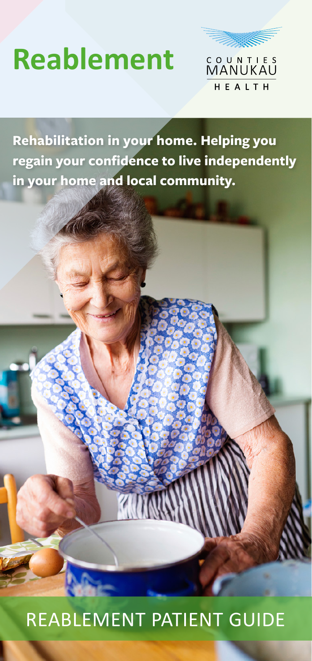# **Reablement**



**Rehabilitation in your home. Helping you regain your confidence to live independently in your home and local community.**

### REABLEMENT PATIENT GUIDE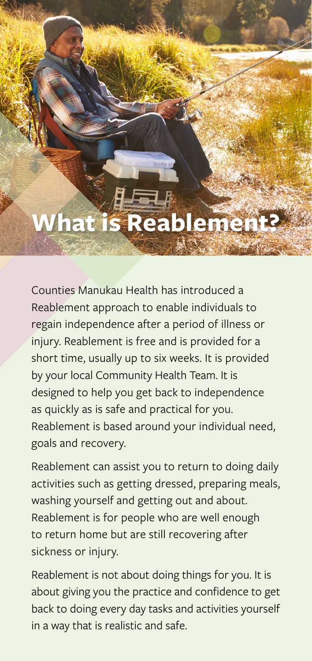**What is Reableme** 

Counties Manukau Health has introduced a Reablement approach to enable individuals to regain independence after a period of illness or injury. Reablement is free and is provided for a short time, usually up to six weeks. It is provided by your local Community Health Team. It is designed to help you get back to independence as quickly as is safe and practical for you. Reablement is based around your individual need, goals and recovery.

Reablement can assist you to return to doing daily activities such as getting dressed, preparing meals, washing yourself and getting out and about. Reablement is for people who are well enough to return home but are still recovering after sickness or injury.

Reablement is not about doing things for you. It is about giving you the practice and confidence to get back to doing every day tasks and activities yourself in a way that is realistic and safe.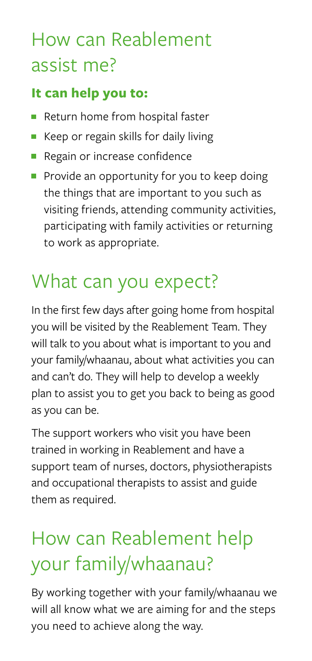# How can Reablement assist me?

### **It can help you to:**

- Return home from hospital faster
- Keep or regain skills for daily living Ē,
- **Regain or increase confidence**
- Provide an opportunity for you to keep doing the things that are important to you such as visiting friends, attending community activities, participating with family activities or returning to work as appropriate.

# What can you expect?

In the first few days after going home from hospital you will be visited by the Reablement Team. They will talk to you about what is important to you and your family/whaanau, about what activities you can and can't do. They will help to develop a weekly plan to assist you to get you back to being as good as you can be.

The support workers who visit you have been trained in working in Reablement and have a support team of nurses, doctors, physiotherapists and occupational therapists to assist and guide them as required.

# How can Reablement help your family/whaanau?

By working together with your family/whaanau we will all know what we are aiming for and the steps you need to achieve along the way.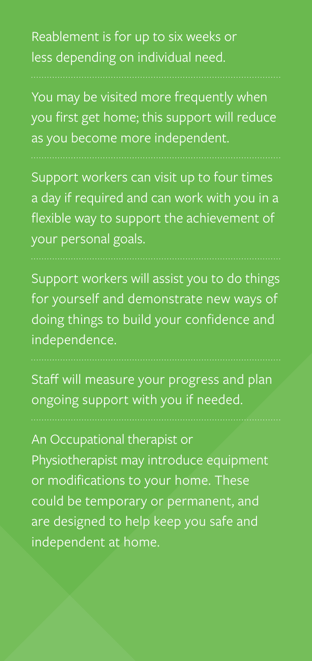Reablement is for up to six weeks or less depending on individual need.

You may be visited more frequently when you first get home; this support will reduce as you become more independent.

Support workers can visit up to four times a day if required and can work with you in a flexible way to support the achievement of your personal goals.

Support workers will assist you to do things for yourself and demonstrate new ways of doing things to build your confidence and independence.

Staff will measure your progress and plan ongoing support with you if needed.

An Occupational therapist or Physiotherapist may introduce equipment or modifications to your home. These could be temporary or permanent, and are designed to help keep you safe and independent at home.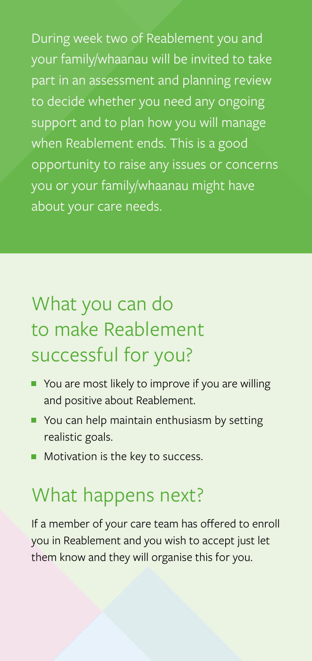During week two of Reablement you and your family/whaanau will be invited to take part in an assessment and planning review to decide whether you need any ongoing support and to plan how you will manage when Reablement ends. This is a good opportunity to raise any issues or concerns you or your family/whaanau might have about your care needs.

# What you can do to make Reablement successful for you?

- You are most likely to improve if you are willing and positive about Reablement.
- You can help maintain enthusiasm by setting realistic goals.
- **Motivation is the key to success.**

# What happens next?

If a member of your care team has offered to enroll you in Reablement and you wish to accept just let them know and they will organise this for you.